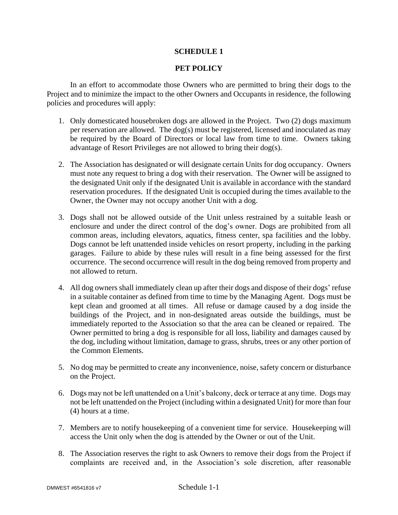## **SCHEDULE 1**

## **PET POLICY**

In an effort to accommodate those Owners who are permitted to bring their dogs to the Project and to minimize the impact to the other Owners and Occupants in residence, the following policies and procedures will apply:

- 1. Only domesticated housebroken dogs are allowed in the Project. Two (2) dogs maximum per reservation are allowed. The dog(s) must be registered, licensed and inoculated as may be required by the Board of Directors or local law from time to time. Owners taking advantage of Resort Privileges are not allowed to bring their dog(s).
- 2. The Association has designated or will designate certain Units for dog occupancy. Owners must note any request to bring a dog with their reservation. The Owner will be assigned to the designated Unit only if the designated Unit is available in accordance with the standard reservation procedures. If the designated Unit is occupied during the times available to the Owner, the Owner may not occupy another Unit with a dog.
- 3. Dogs shall not be allowed outside of the Unit unless restrained by a suitable leash or enclosure and under the direct control of the dog's owner. Dogs are prohibited from all common areas, including elevators, aquatics, fitness center, spa facilities and the lobby. Dogs cannot be left unattended inside vehicles on resort property, including in the parking garages. Failure to abide by these rules will result in a fine being assessed for the first occurrence. The second occurrence will result in the dog being removed from property and not allowed to return.
- 4. All dog owners shall immediately clean up after their dogs and dispose of their dogs' refuse in a suitable container as defined from time to time by the Managing Agent. Dogs must be kept clean and groomed at all times. All refuse or damage caused by a dog inside the buildings of the Project, and in non-designated areas outside the buildings, must be immediately reported to the Association so that the area can be cleaned or repaired. The Owner permitted to bring a dog is responsible for all loss, liability and damages caused by the dog, including without limitation, damage to grass, shrubs, trees or any other portion of the Common Elements.
- 5. No dog may be permitted to create any inconvenience, noise, safety concern or disturbance on the Project.
- 6. Dogs may not be left unattended on a Unit's balcony, deck or terrace at any time. Dogs may not be left unattended on the Project (including within a designated Unit) for more than four (4) hours at a time.
- 7. Members are to notify housekeeping of a convenient time for service. Housekeeping will access the Unit only when the dog is attended by the Owner or out of the Unit.
- 8. The Association reserves the right to ask Owners to remove their dogs from the Project if complaints are received and, in the Association's sole discretion, after reasonable